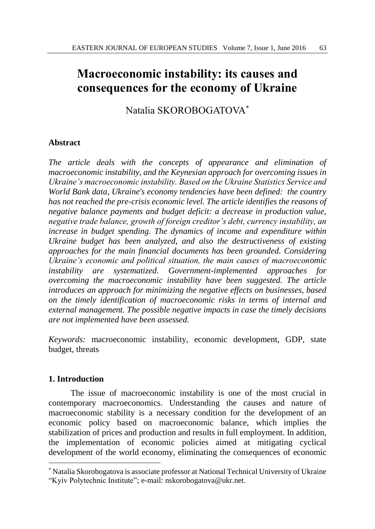# **Macroeconomic instability: its causes and consequences for the economy of Ukraine**

Natalia SKOROBOGATOVA\*

## **Abstract**

*The article deals with the concepts of appearance and elimination of macroeconomic instability, and the Keynesian approach for overcoming issues in Ukraine's macroeconomic instability. Based on the Ukraine Statistics Service and World Bank data, Ukraine's economy tendencies have been defined: the country has not reached the pre-crisis economic level. The article identifies the reasons of negative balance payments and budget deficit: a decrease in production value, negative trade balance, growth of foreign creditor's debt, currency instability, an increase in budget spending. The dynamics of income and expenditure within Ukraine budget has been analyzed, and also the destructiveness of existing approaches for the main financial documents has been grounded. Considering Ukraine's economic and political situation, the main causes of macroeconomic instability are systematized. Government-implemented approaches for overcoming the macroeconomic instability have been suggested. The article introduces an approach for minimizing the negative effects on businesses, based on the timely identification of macroeconomic risks in terms of internal and external management. The possible negative impacts in case the timely decisions are not implemented have been assessed.*

*Keywords:* macroeconomic instability, economic development, GDP, state budget, threats

## **1. Introduction**

l

The issue of macroeconomic instability is one of the most crucial in contemporary macroeconomics. Understanding the causes and nature of macroeconomic stability is a necessary condition for the development of an economic policy based on macroeconomic balance, which implies the stabilization of prices and production and results in full employment. In addition, the implementation of economic policies aimed at mitigating cyclical development of the world economy, eliminating the consequences of economic

<sup>\*</sup> Natalia Skorobogatova is associate professor at National Technical University of Ukraine "Kyiv Polytechnic Institute"; e-mail: nskorobogatova@ukr.net.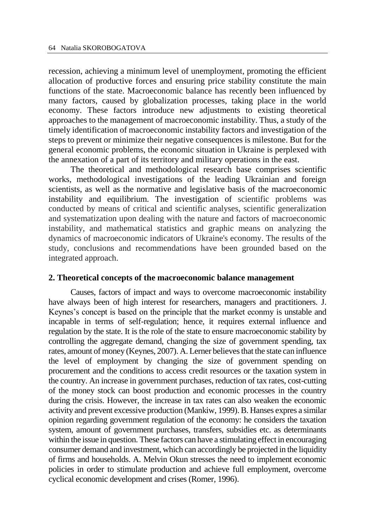recession, achieving a minimum level of unemployment, promoting the efficient allocation of productive forces and ensuring price stability constitute the main functions of the state. Macroeconomic balance has recently been influenced by many factors, caused by globalization processes, taking place in the world economy. These factors introduce new adjustments to existing theoretical approaches to the management of macroeconomic instability. Thus, a study of the timely identification of macroeconomic instability factors and investigation of the steps to prevent or minimize their negative consequences is milestone. But for the general economic problems, the economic situation in Ukraine is perplexed with the annexation of a part of its territory and military operations in the east.

The theoretical and methodological research base comprises scientific works, methodological investigations of the leading Ukrainian and foreign scientists, as well as the normative and legislative basis of the macroeconomic instability and equilibrium. The investigation of scientific problems was conducted by means of critical and scientific analyses, scientific generalization and systematization upon dealing with the nature and factors of macroeconomic instability, and mathematical statistics and graphic means on analyzing the dynamics of macroeconomic indicators of Ukraine's economy. The results of the study, conclusions and recommendations have been grounded based on the integrated approach.

## **2. Theoretical concepts of the macroeconomic balance management**

Causes, factors of impact and ways to overcome macroeconomic instability have always been of high interest for researchers, managers and practitioners. J. Keynes's concept is based on the principle that the market econmy is unstable and incapable in terms of self-regulation; hence, it requires external influence and regulation by the state. It is the role of the state to ensure macroeconomic stability by controlling the aggregate demand, changing the size of government spending, tax rates, amount of money (Keynes, 2007). A. Lerner believes that the state can influence the level of employment by changing the size of government spending on procurement and the conditions to access credit resources or the taxation system in the country. An increase in government purchases, reduction of tax rates, cost-cutting of the money stock can boost production and economic processes in the country during the crisis. However, the increase in tax rates can also weaken the economic activity and prevent excessive production (Mankiw, 1999). B. Hanses expres a similar opinion regarding government regulation of the economy: he considers the taxation system, amount of government purchases, transfers, subsidies etc. as determinants within the issue in question. These factors can have a stimulating effect in encouraging consumer demand and investment, which can accordingly be projected in the liquidity of firms and households. A. Melvin Okun stresses the need to implement economic policies in order to stimulate production and achieve full employment, overcome cyclical economic development and crises (Romer, 1996).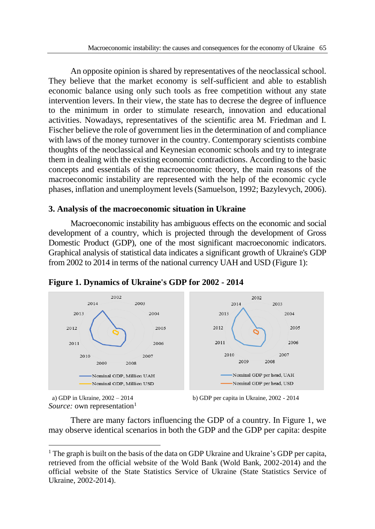An opposite opinion is shared by representatives of the neoclassical school. They believe that the market economy is self-sufficient and able to establish economic balance using only such tools as free competition without any state intervention levers. In their view, the state has to decrese the degree of influence to the minimum in order to stimulate research, innovation and educational activities. Nowadays, representatives of the scientific area M. Friedman and I. Fischer believe the role of government lies in the determination of and compliance with laws of the money turnover in the country. Contemporary scientists combine thoughts of the neoclassical and Keynesian economic schools and try to integrate them in dealing with the existing economic contradictions. According to the basic concepts and essentials of the macroeconomic theory, the main reasons of the macroeconomic instability are represented with the help of the economic cycle phases, inflation and unemployment levels (Samuelson, 1992; Bazylevych, 2006).

## **3. Analysis of the macroeconomic situation in Ukraine**

Macroeconomic instability has ambiguous effects on the economic and social development of a country, which is projected through the development of Gross Domestic Product (GDP), one of the most significant macroeconomic indicators. Graphical analysis of statistical data indicates a significant growth of Ukraine's GDP from 2002 to 2014 in terms of the national currency UAH and USD (Figure 1):



## **Figure 1. Dynamics of Ukraine's GDP for 2002 - 2014**

*Source:* own representation<sup>1</sup>

 $\overline{a}$ 

a) GDP in Ukraine,  $2002 - 2014$  b) GDP per capita in Ukraine,  $2002 - 2014$ 

There are many factors influencing the GDP of a country. In Figure 1, we may observe identical scenarios in both the GDP and the GDP per capita: despite

<sup>&</sup>lt;sup>1</sup> The graph is built on the basis of the data on GDP Ukraine and Ukraine's GDP per capita, retrieved from the official website of the Wold Bank (Wold Bank, 2002-2014) and the official website of the State Statistics Service of Ukraine (State Statistics Service of Ukraine, 2002-2014).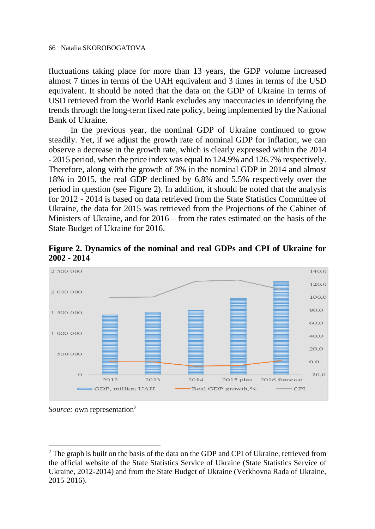fluctuations taking place for more than 13 years, the GDP volume increased almost 7 times in terms of the UAH equivalent and 3 times in terms of the USD equivalent. It should be noted that the data on the GDP of Ukraine in terms of USD retrieved from the World Bank excludes any inaccuracies in identifying the trends through the long-term fixed rate policy, being implemented by the National Bank of Ukraine.

In the previous year, the nominal GDP of Ukraine continued to grow steadily. Yet, if we adjust the growth rate of nominal GDP for inflation, we can observe a decrease in the growth rate, which is clearly expressed within the 2014 - 2015 period, when the price index was equal to 124.9% and 126.7% respectively. Therefore, along with the growth of 3% in the nominal GDP in 2014 and almost 18% in 2015, the real GDP declined by 6.8% and 5.5% respectively over the period in question (see Figure 2). In addition, it should be noted that the analysis for 2012 - 2014 is based on data retrieved from the State Statistics Committee of Ukraine, the data for 2015 was retrieved from the Projections of the Cabinet of Ministers of Ukraine, and for 2016 – from the rates estimated on the basis of the State Budget of Ukraine for 2016.





*Source:* own representation<sup>2</sup>

 $\overline{a}$ 

<sup>2</sup> The graph is built on the basis of the data on the GDP and CPI of Ukraine, retrieved from the official website of the State Statistics Service of Ukraine (State Statistics Service of Ukraine, 2012-2014) and from the State Budget of Ukraine (Verkhovna Rada of Ukraine, 2015-2016).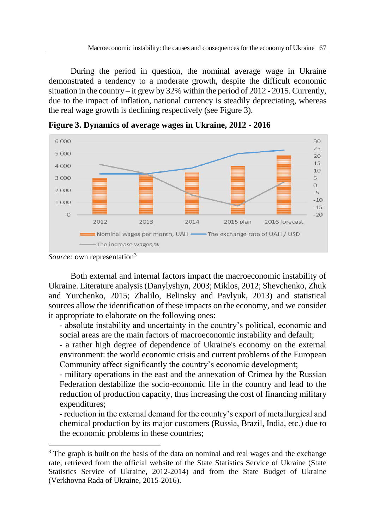During the period in question, the nominal average wage in Ukraine demonstrated a tendency to a moderate growth, despite the difficult economic situation in the country – it grew by  $32\%$  within the period of 2012 - 2015. Currently, due to the impact of inflation, national currency is steadily depreciating, whereas the real wage growth is declining respectively (see Figure 3).



**Figure 3. Dynamics of average wages in Ukraine, 2012 - 2016** 

 $\overline{a}$ 

Both external and internal factors impact the macroeconomic instability of Ukraine. Literature analysis (Danylyshyn, 2003; Miklos, 2012; Shevchenko, Zhuk and Yurchenko, 2015; Zhalilo, Belinsky and Pavlyuk, 2013) and statistical sources allow the identification of these impacts on the economy, and we consider it appropriate to elaborate on the following ones:

- absolute instability and uncertainty in the country's political, economic and social areas are the main factors of macroeconomic instability and default;

- a rather high degree of dependence of Ukraine's economy on the external environment: the world economic crisis and current problems of the European Community affect significantly the country's economic development;

- military operations in the east and the annexation of Crimea by the Russian Federation destabilize the socio-economic life in the country and lead to the reduction of production capacity, thus increasing the cost of financing military expenditures;

- reduction in the external demand for the country's export of metallurgical and chemical production by its major customers (Russia, Brazil, India, etc.) due to the economic problems in these countries;

*Source:* own representation<sup>3</sup>

<sup>&</sup>lt;sup>3</sup> The graph is built on the basis of the data on nominal and real wages and the exchange rate, retrieved from the official website of the State Statistics Service of Ukraine (State Statistics Service of Ukraine, 2012-2014) and from the State Budget of Ukraine (Verkhovna Rada of Ukraine, 2015-2016).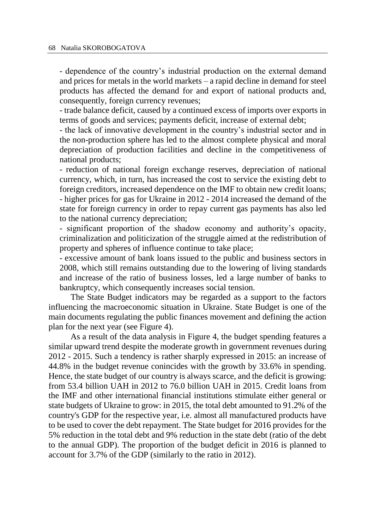- dependence of the country's industrial production on the external demand and prices for metals in the world markets – a rapid decline in demand for steel products has affected the demand for and export of national products and, consequently, foreign currency revenues;

- trade balance deficit, caused by a continued excess of imports over exports in terms of goods and services; payments deficit, increase of external debt;

- the lack of innovative development in the country's industrial sector and in the non-production sphere has led to the almost complete physical and moral depreciation of production facilities and decline in the competitiveness of national products;

- reduction of national foreign exchange reserves, depreciation of national currency, which, in turn, has increased the cost to service the existing debt to foreign creditors, increased dependence on the IMF to obtain new credit loans; - higher prices for gas for Ukraine in 2012 - 2014 increased the demand of the state for foreign currency in order to repay current gas payments has also led to the national currency depreciation;

- significant proportion of the shadow economy and authority's opacity, criminalization and politicization of the struggle aimed at the redistribution of property and spheres of influence continue to take place;

- excessive amount of bank loans issued to the public and business sectors in 2008, which still remains outstanding due to the lowering of living standards and increase of the ratio of business losses, led a large number of banks to bankruptcy, which consequently increases social tension.

The State Budget indicators may be regarded as a support to the factors influencing the macroeconomic situation in Ukraine. State Budget is one of the main documents regulating the public finances movement and defining the action plan for the next year (see Figure 4).

As a result of the data analysis in Figure 4, the budget spending features a similar upward trend despite the moderate growth in government revenues during 2012 - 2015. Such a tendency is rather sharply expressed in 2015: an increase of 44.8% in the budget revenue conincides with the growth by 33.6% in spending. Hence, the state budget of our country is always scarce, and the deficit is growing: from 53.4 billion UAH in 2012 to 76.0 billion UAH in 2015. Credit loans from the IMF and other international financial institutions stimulate either general or state budgets of Ukraine to grow: in 2015, the total debt amounted to 91.2% of the country's GDP for the respective year, i.e. almost all manufactured products have to be used to cover the debt repayment. The State budget for 2016 provides for the 5% reduction in the total debt and 9% reduction in the state debt (ratio of the debt to the annual GDP). The proportion of the budget deficit in 2016 is planned to account for 3.7% of the GDP (similarly to the ratio in 2012).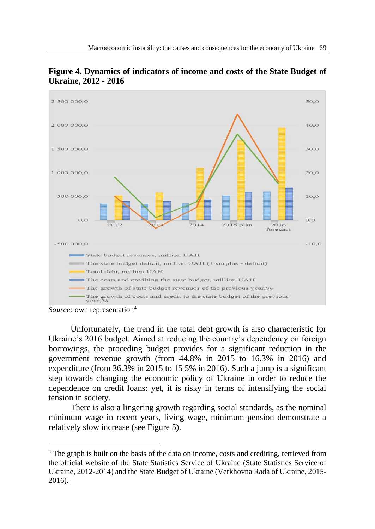

**Figure 4. Dynamics of indicators of income and costs of the State Budget of Ukraine, 2012 - 2016**

 $\overline{a}$ 

Unfortunately, the trend in the total debt growth is also characteristic for Ukraine's 2016 budget. Aimed at reducing the country's dependency on foreign borrowings, the proceding budget provides for a significant reduction in the government revenue growth (from 44.8% in 2015 to 16.3% in 2016) and expenditure (from 36.3% in 2015 to 15 5% in 2016). Such a jump is a significant step towards changing the economic policy of Ukraine in order to reduce the dependence on credit loans: yet, it is risky in terms of intensifying the social tension in society.

There is also a lingering growth regarding social standards, as the nominal minimum wage in recent years, living wage, minimum pension demonstrate a relatively slow increase (see Figure 5).

*Source:* own representation<sup>4</sup>

<sup>4</sup> The graph is built on the basis of the data on income, costs and crediting, retrieved from the official website of the State Statistics Service of Ukraine (State Statistics Service of Ukraine, 2012-2014) and the State Budget of Ukraine (Verkhovna Rada of Ukraine, 2015- 2016).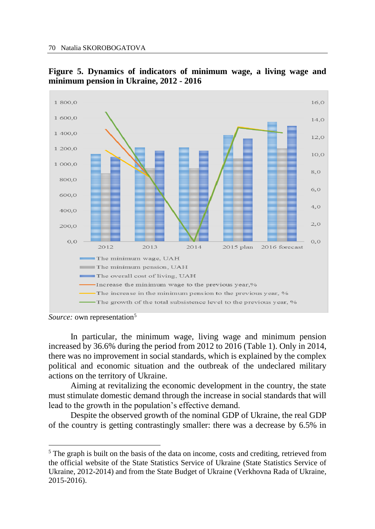

**Figure 5. Dynamics of indicators of minimum wage, a living wage and minimum pension in Ukraine, 2012 - 2016**

 $\overline{a}$ 

In particular, the minimum wage, living wage and minimum pension increased by 36.6% during the period from 2012 to 2016 (Table 1). Only in 2014, there was no improvement in social standards, which is explained by the complex political and economic situation and the outbreak of the undeclared military actions on the territory of Ukraine.

Aiming at revitalizing the economic development in the country, the state must stimulate domestic demand through the increase in social standards that will lead to the growth in the population's effective demand.

Despite the observed growth of the nominal GDP of Ukraine, the real GDP of the country is getting contrastingly smaller: there was a decrease by 6.5% in

*Source:* own representation<sup>5</sup>

<sup>&</sup>lt;sup>5</sup> The graph is built on the basis of the data on income, costs and crediting, retrieved from the official website of the State Statistics Service of Ukraine (State Statistics Service of Ukraine, 2012-2014) and from the State Budget of Ukraine (Verkhovna Rada of Ukraine, 2015-2016).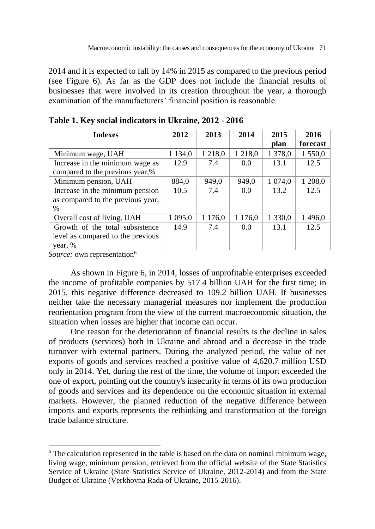2014 and it is expected to fall by 14% in 2015 as compared to the previous period (see Figure 6). As far as the GDP does not include the financial results of businesses that were involved in its creation throughout the year, a thorough examination of the manufacturers' financial position is reasonable.

| <b>Indexes</b>                    | 2012        | 2013        | 2014        | 2015      | 2016     |
|-----------------------------------|-------------|-------------|-------------|-----------|----------|
|                                   |             |             |             | plan      | forecast |
| Minimum wage, UAH                 | 1 1 3 4 , 0 | 1 2 1 8 , 0 | 1 2 1 8 , 0 | 1 378,0   | 1 550,0  |
| Increase in the minimum wage as   | 12.9        | 7.4         | 0.0         | 13.1      | 12.5     |
| compared to the previous year,%   |             |             |             |           |          |
| Minimum pension, UAH              | 884,0       | 949,0       | 949,0       | 1 0 74,0  | 1 208,0  |
| Increase in the minimum pension   | 10.5        | 7.4         | 0.0         | 13.2      | 12.5     |
| as compared to the previous year, |             |             |             |           |          |
| $\%$                              |             |             |             |           |          |
| Overall cost of living, UAH       | 1 0 9 5 0   | 1 1 7 6,0   | 1 1 7 6,0   | 1 3 3 0 0 | 1496,0   |
| Growth of the total subsistence   | 14.9        | 7.4         | 0.0         | 13.1      | 12.5     |
| level as compared to the previous |             |             |             |           |          |
| year, %                           |             |             |             |           |          |

| Table 1. Key social indicators in Ukraine, 2012 - 2016 |  |  |  |
|--------------------------------------------------------|--|--|--|
|--------------------------------------------------------|--|--|--|

*Source:* own representation<sup>6</sup>

 $\overline{a}$ 

As shown in Figure 6, in 2014, losses of unprofitable enterprises exceeded the income of profitable companies by 517.4 billion UAH for the first time; in 2015, this negative difference decreased to 109.2 billion UAH. If businesses neither take the necessary managerial measures nor implement the production reorientation program from the view of the current macroeconomic situation, the situation when losses are higher that income can occur.

One reason for the deterioration of financial results is the decline in sales of products (services) both in Ukraine and abroad and a decrease in the trade turnover with external partners. During the analyzed period, the value of net exports of goods and services reached a positive value of 4,620.7 million USD only in 2014. Yet, during the rest of the time, the volume of import exceeded the one of export, pointing out the country's insecurity in terms of its own production of goods and services and its dependence on the economic situation in external markets. However, the planned reduction of the negative difference between imports and exports represents the rethinking and transformation of the foreign trade balance structure.

<sup>6</sup> The calculation represented in the table is based on the data on nominal minimum wage, living wage, minimum pension, retrieved from the official website of the State Statistics Service of Ukraine (State Statistics Service of Ukraine, 2012-2014) and from the State Budget of Ukraine (Verkhovna Rada of Ukraine, 2015-2016).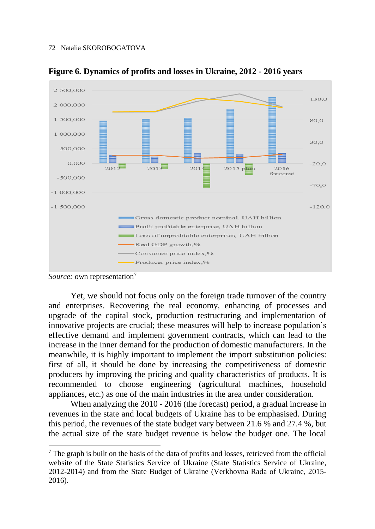

**Figure 6. Dynamics of profits and losses in Ukraine, 2012 - 2016 years**

 $\overline{a}$ 

Yet, we should not focus only on the foreign trade turnover of the country and enterprises. Recovering the real economy, enhancing of processes and upgrade of the capital stock, production restructuring and implementation of innovative projects are crucial; these measures will help to increase population's effective demand and implement government contracts, which can lead to the increase in the inner demand for the production of domestic manufacturers. In the meanwhile, it is highly important to implement the import substitution policies: first of all, it should be done by increasing the competitiveness of domestic producers by improving the pricing and quality characteristics of products. It is recommended to choose engineering (agricultural machines, household appliances, etc.) as one of the main industries in the area under consideration.

When analyzing the 2010 - 2016 (the forecast) period, a gradual increase in revenues in the state and local budgets of Ukraine has to be emphasised. During this period, the revenues of the state budget vary between 21.6 % and 27.4 %, but the actual size of the state budget revenue is below the budget one. The local

*Source:* own representation<sup>7</sup>

<sup>7</sup> The graph is built on the basis of the data of profits and losses, retrieved from the official website of the State Statistics Service of Ukraine (State Statistics Service of Ukraine, 2012-2014) and from the State Budget of Ukraine (Verkhovna Rada of Ukraine, 2015- 2016).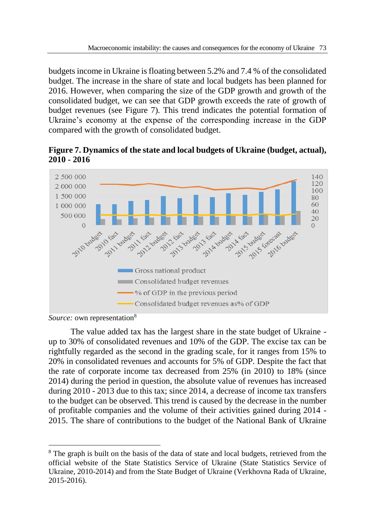budgets income in Ukraine is floating between 5.2% and 7.4 % of the consolidated budget. The increase in the share of state and local budgets has been planned for 2016. However, when comparing the size of the GDP growth and growth of the consolidated budget, we can see that GDP growth exceeds the rate of growth of budget revenues (see Figure 7). This trend indicates the potential formation of Ukraine's economy at the expense of the corresponding increase in the GDP compared with the growth of consolidated budget.

**Figure 7. Dynamics of the state and local budgets of Ukraine (budget, actual), 2010 - 2016**



*Source:* own representation<sup>8</sup>

 $\overline{a}$ 

The value added tax has the largest share in the state budget of Ukraine up to 30% of consolidated revenues and 10% of the GDP. The excise tax can be rightfully regarded as the second in the grading scale, for it ranges from 15% to 20% in consolidated revenues and accounts for 5% of GDP. Despite the fact that the rate of corporate income tax decreased from 25% (in 2010) to 18% (since 2014) during the period in question, the absolute value of revenues has increased during 2010 - 2013 due to this tax; since 2014, a decrease of income tax transfers to the budget can be observed. This trend is caused by the decrease in the number of profitable companies and the volume of their activities gained during 2014 - 2015. The share of contributions to the budget of the National Bank of Ukraine

<sup>&</sup>lt;sup>8</sup> The graph is built on the basis of the data of state and local budgets, retrieved from the official website of the State Statistics Service of Ukraine (State Statistics Service of Ukraine, 2010-2014) and from the State Budget of Ukraine (Verkhovna Rada of Ukraine, 2015-2016).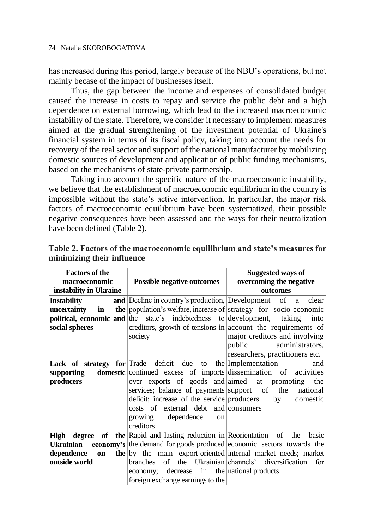has increased during this period, largely because of the NBU's operations, but not mainly becase of the impact of businesses itself.

Thus, the gap between the income and expenses of consolidated budget caused the increase in costs to repay and service the public debt and a high dependence on external borrowing, which lead to the increased macroeconomic instability of the state. Therefore, we consider it necessary to implement measures aimed at the gradual strengthening of the investment potential of Ukraine's financial system in terms of its fiscal policy, taking into account the needs for recovery of the real sector and support of the national manufacturer by mobilizing domestic sources of development and application of public funding mechanisms, based on the mechanisms of state-private partnership.

Taking into account the specific nature of the macroeconomic instability, we believe that the establishment of macroeconomic equilibrium in the country is impossible without the state's active intervention. In particular, the major risk factors of macroeconomic equilibrium have been systematized, their possible negative consequences have been assessed and the ways for their neutralization have been defined (Table 2).

| <b>Factors of the</b>  |                                                                                | Suggested ways of                                                                     |  |  |
|------------------------|--------------------------------------------------------------------------------|---------------------------------------------------------------------------------------|--|--|
| macroeconomic          | <b>Possible negative outcomes</b>                                              | overcoming the negative                                                               |  |  |
| instability in Ukraine |                                                                                | outcomes                                                                              |  |  |
| Instability            |                                                                                | and Decline in country's production, Development of a clear                           |  |  |
| uncertainty<br>in      |                                                                                | the population's welfare, increase of strategy for socio-economic                     |  |  |
|                        | <b>political, economic and</b> the state's indebtedness to development, taking | into                                                                                  |  |  |
| social spheres         |                                                                                | creditors, growth of tensions in account the requirements of                          |  |  |
|                        | society                                                                        | major creditors and involving                                                         |  |  |
|                        |                                                                                | administrators,<br>public                                                             |  |  |
|                        |                                                                                | researchers, practitioners etc.                                                       |  |  |
|                        | <b>Lack of strategy for</b> Trade deficit due to the Implementation            | and                                                                                   |  |  |
| supporting             |                                                                                | domestic continued excess of imports dissemination of activities                      |  |  |
| producers              |                                                                                | over exports of goods and aimed at promoting the                                      |  |  |
|                        |                                                                                | services; balance of payments support of the national                                 |  |  |
|                        | deficit; increase of the service producers                                     | by domestic                                                                           |  |  |
|                        | costs of external debt and consumers                                           |                                                                                       |  |  |
|                        | growing dependence<br>on                                                       |                                                                                       |  |  |
|                        | creditors                                                                      |                                                                                       |  |  |
|                        | High degree of the Rapid and lasting reduction in Reorientation of the         | basic                                                                                 |  |  |
|                        |                                                                                | <b>Ukrainian</b> economy's the demand for goods produced economic sectors towards the |  |  |
| dependence<br>on       |                                                                                | the by the main export-oriented internal market needs; market                         |  |  |
| outside world          | branches of the Ukrainian channels' diversification<br>for                     |                                                                                       |  |  |
|                        | economy; decrease in the national products                                     |                                                                                       |  |  |
|                        | foreign exchange earnings to the                                               |                                                                                       |  |  |

**Table 2. Factors of the macroeconomic equilibrium and state's measures for minimizing their influence**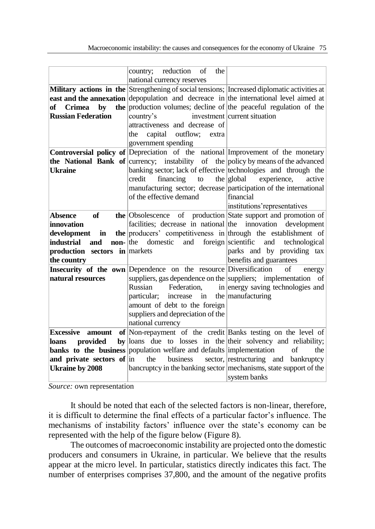|                               | country; reduction<br>of<br>the                                             |                                                                                              |
|-------------------------------|-----------------------------------------------------------------------------|----------------------------------------------------------------------------------------------|
|                               | national currency reserves                                                  |                                                                                              |
|                               |                                                                             | Military actions in the Strengthening of social tensions; Increased diplomatic activities at |
|                               |                                                                             | <b>east and the annexation</b> depopulation and decrease in the international level aimed at |
| <b>Crimea</b><br>by<br>of     |                                                                             | the production volumes; decline of the peaceful regulation of the                            |
| <b>Russian Federation</b>     | country's                                                                   | investment current situation                                                                 |
|                               | attractiveness and decrease of                                              |                                                                                              |
|                               | capital<br>outflow; extra<br>the                                            |                                                                                              |
|                               | government spending                                                         |                                                                                              |
|                               |                                                                             | <b>Controversial policy of Depreciation</b> of the national Improvement of the monetary      |
|                               |                                                                             | <b>the National Bank of</b> currency; instability of the policy by means of the advanced     |
| <b>Ukraine</b>                |                                                                             | banking sector; lack of effective technologies and through the                               |
|                               | financing to<br>credit                                                      | $the$  global experience,<br>active                                                          |
|                               |                                                                             | manufacturing sector; decrease participation of the international                            |
|                               | of the effective demand                                                     | financial                                                                                    |
|                               |                                                                             | institutions' representatives                                                                |
| <b>Absence</b><br>of          | the Obsolescence                                                            | of production State support and promotion of                                                 |
| <i>innovation</i>             | facilities; decrease in national the innovation                             | development                                                                                  |
| development<br>in             |                                                                             | the producers' competitiveness in through the establishment of                               |
| industrial<br>and             | $\textbf{non}-\vert$ the domestic<br>and foreign scientific                 | and technological                                                                            |
| production sectors in markets |                                                                             | parks and by providing tax                                                                   |
| the country                   |                                                                             | benefits and guarantees                                                                      |
|                               | <b>Insecurity of the own</b> Dependence on the resource Diversification     | $\sigma$ f<br>energy                                                                         |
| natural resources             |                                                                             | suppliers, gas dependence on the suppliers; implementation of                                |
|                               | Russian<br>Federation,                                                      | in energy saving technologies and                                                            |
|                               | increase<br>particular;<br>in                                               | the manufacturing                                                                            |
|                               | amount of debt to the foreign                                               |                                                                                              |
|                               | suppliers and depreciation of the                                           |                                                                                              |
|                               | national currency                                                           |                                                                                              |
| <b>Excessive</b><br>amount    |                                                                             | of Non-repayment of the credit Banks testing on the level of                                 |
| provided<br>loans             |                                                                             | by loans due to losses in the their solvency and reliability;                                |
|                               | <b>banks</b> to the business population welfare and defaults implementation | $\sigma$ f<br>the                                                                            |
| and private sectors of $\ln$  | business<br>the                                                             | sector, restructuring and bankruptcy                                                         |
| <b>Ukraine by 2008</b>        |                                                                             | bancruptcy in the banking sector mechanisms, state support of the                            |
|                               |                                                                             | system banks                                                                                 |
|                               |                                                                             |                                                                                              |

*Source:* own representation

It should be noted that each of the selected factors is non-linear, therefore, it is difficult to determine the final effects of a particular factor's influence. The mechanisms of instability factors' influence over the state's economy can be represented with the help of the figure below (Figure 8).

The outcomes of macroeconomic instability are projected onto the domestic producers and consumers in Ukraine, in particular. We believe that the results appear at the micro level. In particular, statistics directly indicates this fact. The number of enterprises comprises 37,800, and the amount of the negative profits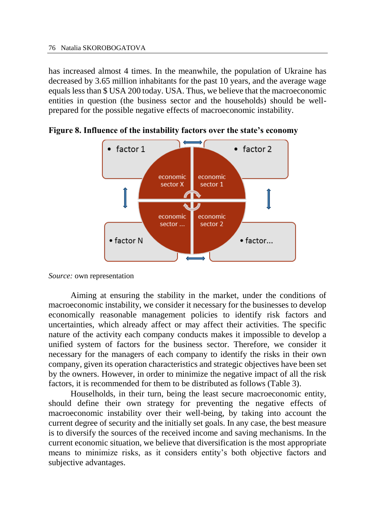has increased almost 4 times. In the meanwhile, the population of Ukraine has decreased by 3.65 million inhabitants for the past 10 years, and the average wage equals less than \$ USA 200 today. USA. Thus, we believe that the macroeconomic entities in question (the business sector and the households) should be wellprepared for the possible negative effects of macroeconomic instability.



**Figure 8. Influence of the instability factors over the state's economy**

```
Source: own representation
```
Aiming at ensuring the stability in the market, under the conditions of macroeconomic instability, we consider it necessary for the businesses to develop economically reasonable management policies to identify risk factors and uncertainties, which already affect or may affect their activities. The specific nature of the activity each company conducts makes it impossible to develop a unified system of factors for the business sector. Therefore, we consider it necessary for the managers of each company to identify the risks in their own company, given its operation characteristics and strategic objectives have been set by the owners. However, in order to minimize the negative impact of all the risk factors, it is recommended for them to be distributed as follows (Table 3).

Houselholds, in their turn, being the least secure macroeconomic entity, should define their own strategy for preventing the negative effects of macroeconomic instability over their well-being, by taking into account the current degree of security and the initially set goals. In any case, the best measure is to diversify the sources of the received income and saving mechanisms. In the current economic situation, we believe that diversification is the most appropriate means to minimize risks, as it considers entity's both objective factors and subjective advantages.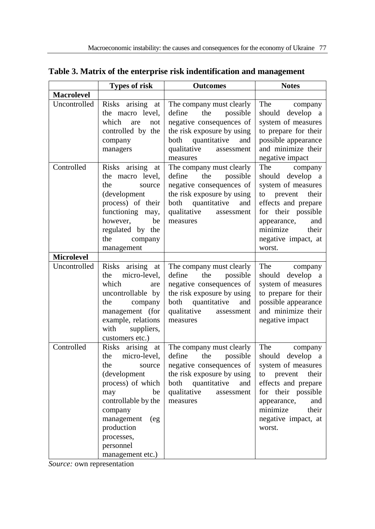|                   | <b>Types of risk</b>                                                                                                                                                                                                              | <b>Outcomes</b>                                                                                                                                                                         | <b>Notes</b>                                                                                                                                                                                                      |
|-------------------|-----------------------------------------------------------------------------------------------------------------------------------------------------------------------------------------------------------------------------------|-----------------------------------------------------------------------------------------------------------------------------------------------------------------------------------------|-------------------------------------------------------------------------------------------------------------------------------------------------------------------------------------------------------------------|
| <b>Macrolevel</b> |                                                                                                                                                                                                                                   |                                                                                                                                                                                         |                                                                                                                                                                                                                   |
| Uncontrolled      | Risks<br>arising<br>at<br>the macro level,<br>which<br>are<br>not<br>controlled by the<br>company<br>managers                                                                                                                     | The company must clearly<br>define<br>the<br>possible<br>negative consequences of<br>the risk exposure by using<br>both<br>quantitative<br>and<br>qualitative<br>assessment<br>measures | The<br>company<br>develop a<br>should<br>system of measures<br>to prepare for their<br>possible appearance<br>and minimize their<br>negative impact                                                               |
| Controlled        | Risks arising<br>at<br>the macro level,<br>the<br>source<br>(development<br>process) of their<br>functioning may,<br>however,<br>be<br>regulated by the<br>the<br>company<br>management                                           | The company must clearly<br>define<br>the<br>possible<br>negative consequences of<br>the risk exposure by using<br>both<br>quantitative<br>and<br>qualitative<br>assessment<br>measures | The<br>company<br>should develop a<br>system of measures<br>prevent<br>their<br>to<br>effects and prepare<br>for their possible<br>appearance,<br>and<br>minimize<br>their<br>negative impact, at<br>worst.       |
| <b>Microlevel</b> |                                                                                                                                                                                                                                   |                                                                                                                                                                                         |                                                                                                                                                                                                                   |
| Uncontrolled      | Risks arising<br>at<br>micro-level,<br>the<br>which<br>are<br>uncontrollable by<br>the<br>company<br>management (for<br>example, relations<br>with<br>suppliers,<br>customers etc.)                                               | The company must clearly<br>define<br>the<br>possible<br>negative consequences of<br>the risk exposure by using<br>both<br>quantitative<br>and<br>qualitative<br>assessment<br>measures | The<br>company<br>should<br>develop a<br>system of measures<br>to prepare for their<br>possible appearance<br>and minimize their<br>negative impact                                                               |
| Controlled        | Risks arising<br>at<br>micro-level,<br>the<br>the<br>source<br>(development<br>process) of which<br>be<br>may<br>controllable by the<br>company<br>management<br>(eg<br>production<br>processes,<br>personnel<br>management etc.) | The company must clearly<br>define<br>the<br>possible<br>negative consequences of<br>the risk exposure by using<br>both<br>quantitative<br>and<br>qualitative<br>assessment<br>measures | The<br>company<br>should<br>develop a<br>system of measures<br>to<br>prevent<br>their<br>effects and prepare<br>their possible<br>for<br>appearance,<br>and<br>minimize<br>their<br>negative impact, at<br>worst. |

**Table 3. Matrix of the enterprise risk indentification and management**

*Source:* own representation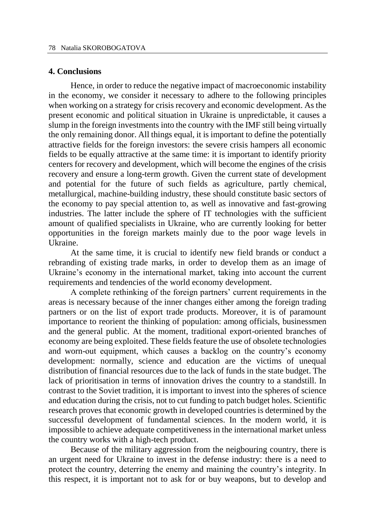#### **4. Conclusions**

Hence, in order to reduce the negative impact of macroeconomic instability in the economy, we consider it necessary to adhere to the following principles when working on a strategy for crisis recovery and economic development. As the present economic and political situation in Ukraine is unpredictable, it causes a slump in the foreign investments into the country with the IMF still being virtually the only remaining donor. All things equal, it is important to define the potentially attractive fields for the foreign investors: the severe crisis hampers all economic fields to be equally attractive at the same time: it is important to identify priority centers for recovery and development, which will become the engines of the crisis recovery and ensure a long-term growth. Given the current state of development and potential for the future of such fields as agriculture, partly chemical, metallurgical, machine-building industry, these should constitute basic sectors of the economy to pay special attention to, as well as innovative and fast-growing industries. The latter include the sphere of IT technologies with the sufficient amount of qualified specialists in Ukraine, who are currently looking for better opportunities in the foreign markets mainly due to the poor wage levels in Ukraine.

At the same time, it is crucial to identify new field brands or conduct a rebranding of existing trade marks, in order to develop them as an image of Ukraine's economy in the international market, taking into account the current requirements and tendencies of the world economy development.

A complete rethinking of the foreign partners' current requirements in the areas is necessary because of the inner changes either among the foreign trading partners or on the list of export trade products. Moreover, it is of paramount importance to reorient the thinking of population: among officials, businessmen and the general public. At the moment, traditional export-oriented branches of economy are being exploited. These fields feature the use of obsolete technologies and worn-out equipment, which causes a backlog on the country's economy development: normally, science and education are the victims of unequal distribution of financial resources due to the lack of funds in the state budget. The lack of prioritisation in terms of innovation drives the country to a standstill. In contrast to the Soviet tradition, it is important to invest into the spheres of science and education during the crisis, not to cut funding to patch budget holes. Scientific research proves that economic growth in developed countries is determined by the successful development of fundamental sciences. In the modern world, it is impossible to achieve adequate competitiveness in the international market unless the country works with a high-tech product.

Because of the military aggression from the neigbouring country, there is an urgent need for Ukraine to invest in the defense industry: there is a need to protect the country, deterring the enemy and maining the country's integrity. In this respect, it is important not to ask for or buy weapons, but to develop and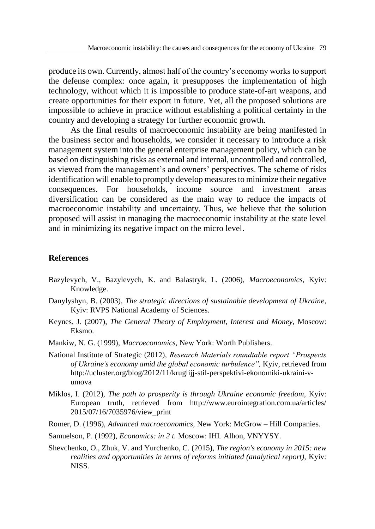produce its own. Currently, almost half of the country's economy works to support the defense complex: once again, it presupposes the implementation of high technology, without which it is impossible to produce state-of-art weapons, and create opportunities for their export in future. Yet, all the proposed solutions are impossible to achieve in practice without establishing a political certainty in the country and developing a strategy for further economic growth.

As the final results of macroeconomic instability are being manifested in the business sector and households, we consider it necessary to introduce a risk management system into the general enterprise management policy, which can be based on distinguishing risks as external and internal, uncontrolled and controlled, as viewed from the management's and owners' perspectives. The scheme of risks identification will enable to promptly develop measures to minimize their negative consequences. For households, income source and investment areas diversification can be considered as the main way to reduce the impacts of macroeconomic instability and uncertainty. Thus, we believe that the solution proposed will assist in managing the macroeconomic instability at the state level and in minimizing its negative impact on the micro level.

#### **References**

- Bazylevych, V., Bazylevych, K. and Balastryk, L. (2006), *Macroeconomics,* Kyiv: Knowledge.
- Danylyshyn, B. (2003), *The strategic directions of sustainable development of Ukraine*, Kyiv: RVPS National Academy of Sciences.
- Keynes, J. (2007), *The General Theory of Employment, Interest and Money,* Moscow: Eksmo.
- Mankiw, N. G. (1999), *Macroeconomics*, New York: Worth Publishers.
- National Institute of Strategic (2012), *Research Materials roundtable report "Prospects of Ukraine's economy amid the global economic turbulence",* Kyiv, retrieved from http://ucluster.org/blog/2012/11/kruglijj-stil-perspektivi-ekonomiki-ukraini-vumova
- Miklos, I. (2012), *The path to prosperity is through Ukraine economic freedom,* Kyiv: European truth, retrieved from http://www.eurointegration.com.ua/articles/ 2015/07/16/7035976/view\_print
- Romer, D. (1996), *Advanced macroeconomics,* New York: McGrow Hill Companies.
- Samuelson, P. (1992), *Economics: in 2 t.* Moscow: IHL Alhon, VNYYSY.
- Shevchenko, O., Zhuk, V. and Yurchenko, C. (2015), *The region's economy in 2015: new realities and opportunities in terms of reforms initiated (analytical report),* Kyiv: NISS.